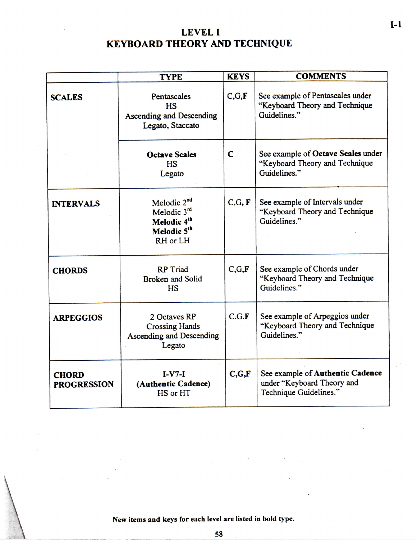## **LEVE L I KEYBOARD THEORY AND TECHNIQUE**

|                                    | <b>TYPE</b>                                                                      | <b>KEYS</b> | <b>COMMENTS</b>                                                                          |  |
|------------------------------------|----------------------------------------------------------------------------------|-------------|------------------------------------------------------------------------------------------|--|
| <b>SCALES</b>                      | Pentascales<br><b>HS</b><br><b>Ascending and Descending</b><br>Legato, Staccato  | C, G, F     | See example of Pentascales under<br>"Keyboard Theory and Technique<br>Guidelines."       |  |
|                                    | <b>Octave Scales</b><br><b>HS</b><br>Legato                                      | $\mathbf C$ | See example of Octave Scales under<br>"Keyboard Theory and Technique<br>Guidelines."     |  |
| <b>INTERVALS</b>                   | Melodic 2 <sup>nd</sup><br>Melodic 3rd<br>Melodic 4th<br>Melodic 5th<br>RH or LH | C, G, F     | See example of Intervals under<br>"Keyboard Theory and Technique<br>Guidelines."         |  |
| <b>CHORDS</b>                      | <b>RP</b> Triad<br><b>Broken and Solid</b><br><b>HS</b>                          | C, G, F     | See example of Chords under<br>"Keyboard Theory and Technique<br>Guidelines."            |  |
| <b>ARPEGGIOS</b>                   | 2 Octaves RP<br><b>Crossing Hands</b><br>Ascending and Descending<br>Legato      | C.G.F       | See example of Arpeggios under<br>"Keyboard Theory and Technique<br>Guidelines."         |  |
| <b>CHORD</b><br><b>PROGRESSION</b> | $I-V7-I$<br>(Authentic Cadence)<br>HS or HT                                      | C, G, F     | See example of Authentic Cadence<br>under "Keyboard Theory and<br>Technique Guidelines." |  |

**New items and keys for each level are listed in bold type.**